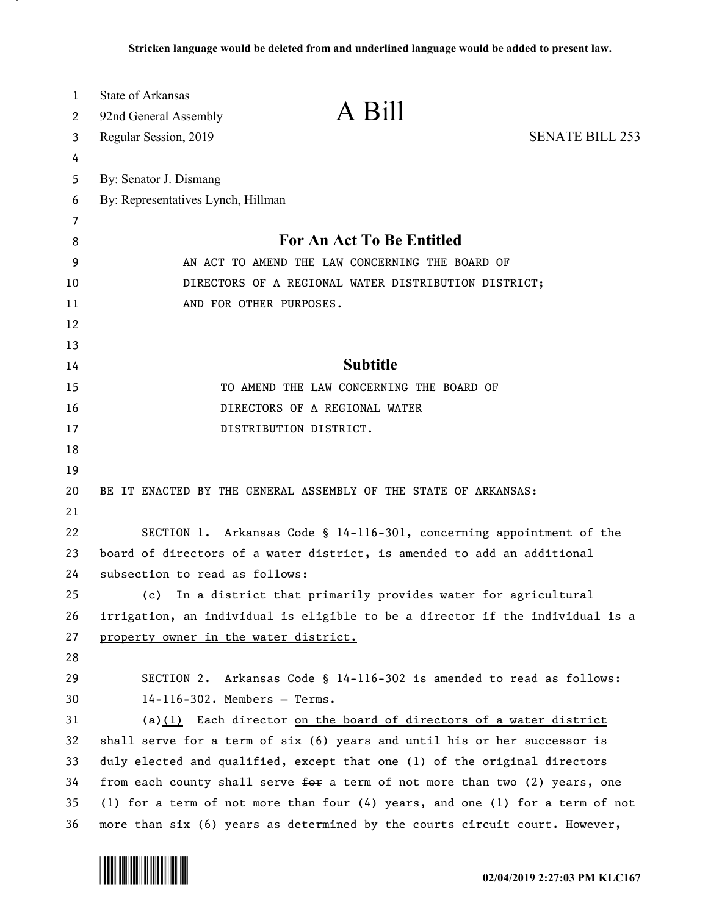| $\mathbf{1}$ | <b>State of Arkansas</b>                                                      |                        |
|--------------|-------------------------------------------------------------------------------|------------------------|
| 2            | A Bill<br>92nd General Assembly                                               |                        |
| 3            | Regular Session, 2019                                                         | <b>SENATE BILL 253</b> |
| 4            |                                                                               |                        |
| 5            | By: Senator J. Dismang                                                        |                        |
| 6            | By: Representatives Lynch, Hillman                                            |                        |
| 7            |                                                                               |                        |
| 8            | <b>For An Act To Be Entitled</b>                                              |                        |
| 9            | AN ACT TO AMEND THE LAW CONCERNING THE BOARD OF                               |                        |
| 10           | DIRECTORS OF A REGIONAL WATER DISTRIBUTION DISTRICT;                          |                        |
| 11           | AND FOR OTHER PURPOSES.                                                       |                        |
| 12           |                                                                               |                        |
| 13           |                                                                               |                        |
| 14           | <b>Subtitle</b>                                                               |                        |
| 15           | TO AMEND THE LAW CONCERNING THE BOARD OF                                      |                        |
| 16           | DIRECTORS OF A REGIONAL WATER                                                 |                        |
| 17           | DISTRIBUTION DISTRICT.                                                        |                        |
| 18           |                                                                               |                        |
| 19           |                                                                               |                        |
| 20           | BE IT ENACTED BY THE GENERAL ASSEMBLY OF THE STATE OF ARKANSAS:               |                        |
| 21           |                                                                               |                        |
| 22           | SECTION 1. Arkansas Code § 14-116-301, concerning appointment of the          |                        |
| 23           | board of directors of a water district, is amended to add an additional       |                        |
| 24           | subsection to read as follows:                                                |                        |
| 25           | (c) In a district that primarily provides water for agricultural              |                        |
| 26           | irrigation, an individual is eligible to be a director if the individual is a |                        |
| 27           | property owner in the water district.                                         |                        |
| 28           |                                                                               |                        |
| 29           | SECTION 2. Arkansas Code § 14-116-302 is amended to read as follows:          |                        |
| 30           | $14-116-302$ . Members - Terms.                                               |                        |
| 31           | (a) $(1)$ Each director on the board of directors of a water district         |                        |
| 32           | shall serve for a term of six (6) years and until his or her successor is     |                        |
| 33           | duly elected and qualified, except that one (1) of the original directors     |                        |
| 34           | from each county shall serve for a term of not more than two (2) years, one   |                        |
| 35           | (1) for a term of not more than four (4) years, and one (1) for a term of not |                        |
| 36           | more than six (6) years as determined by the eourts circuit court. However,   |                        |